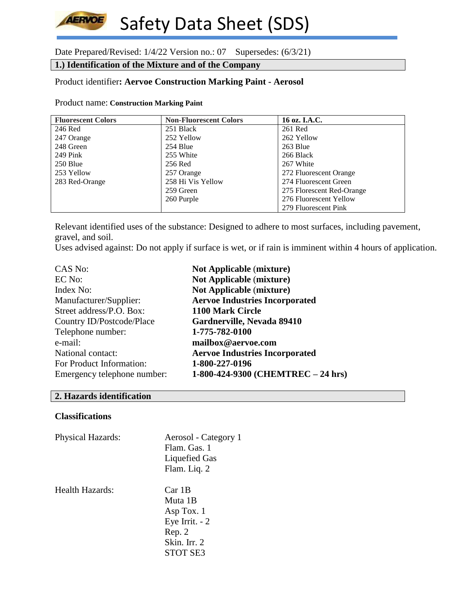# **AERVOE** Safety Data Sheet (SDS)

Date Prepared/Revised: 1/4/22 Version no.: 07 Supersedes: (6/3/21)

# **1.) Identification of the Mixture and of the Company**

# Product identifier**: Aervoe Construction Marking Paint - Aerosol**

#### Product name: **Construction Marking Paint**

| <b>Fluorescent Colors</b> | <b>Non-Fluorescent Colors</b> | 16 oz. I.A.C.             |
|---------------------------|-------------------------------|---------------------------|
| 246 Red                   | 251 Black                     | 261 Red                   |
| 247 Orange                | 252 Yellow                    | 262 Yellow                |
| 248 Green                 | 254 Blue                      | 263 Blue                  |
| $249$ Pink                | 255 White                     | 266 Black                 |
| 250 Blue                  | 256 Red                       | 267 White                 |
| 253 Yellow                | 257 Orange                    | 272 Fluorescent Orange    |
| 283 Red-Orange            | 258 Hi Vis Yellow             | 274 Fluorescent Green     |
|                           | 259 Green                     | 275 Florescent Red-Orange |
|                           | 260 Purple                    | 276 Fluorescent Yellow    |
|                           |                               | 279 Fluorescent Pink      |

Relevant identified uses of the substance: Designed to adhere to most surfaces, including pavement, gravel, and soil.

Uses advised against: Do not apply if surface is wet, or if rain is imminent within 4 hours of application.

| CAS No:                     | <b>Not Applicable (mixture)</b>       |
|-----------------------------|---------------------------------------|
| EC No:                      | <b>Not Applicable (mixture)</b>       |
| Index No:                   | <b>Not Applicable (mixture)</b>       |
| Manufacturer/Supplier:      | <b>Aervoe Industries Incorporated</b> |
| Street address/P.O. Box:    | 1100 Mark Circle                      |
| Country ID/Postcode/Place   | Gardnerville, Nevada 89410            |
| Telephone number:           | 1-775-782-0100                        |
| e-mail:                     | mailbox@aervoe.com                    |
| National contact:           | <b>Aervoe Industries Incorporated</b> |
| For Product Information:    | 1-800-227-0196                        |
| Emergency telephone number: | 1-800-424-9300 (CHEMTREC - 24 hrs)    |

# **2. Hazards identification**

## **Classifications**

| <b>Physical Hazards:</b> | Aerosol - Category 1 |
|--------------------------|----------------------|
|                          | Flam. Gas. 1         |
|                          | Liquefied Gas        |
|                          | Flam. Liq. 2         |
| Health Hazards:          | Car 1B               |
|                          | Muta 1B              |
|                          | Asp Tox. 1           |
|                          | Eye Irrit. - 2       |
|                          | Rep. 2               |
|                          | Skin. Irr. 2         |
|                          | <b>STOT SE3</b>      |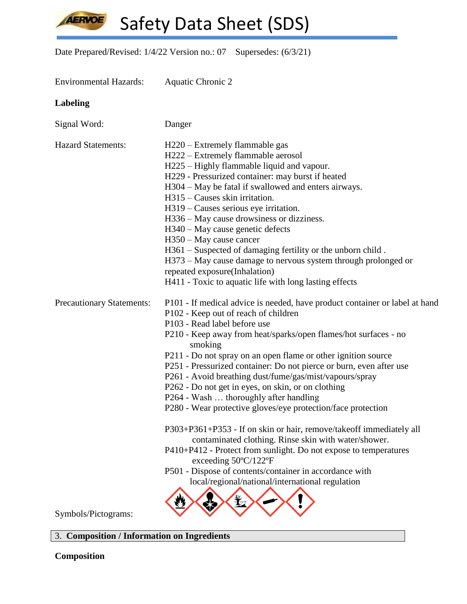**AERVOE** 

Safety Data Sheet (SDS)

Date Prepared/Revised: 1/4/22 Version no.: 07 Supersedes: (6/3/21)

| <b>Environmental Hazards:</b>    | <b>Aquatic Chronic 2</b>                                                                                                                                                                                                                                                                                                                                                                                                                                                                                                                                                                                                                                                                                                                                                                                                                                                                                                                       |
|----------------------------------|------------------------------------------------------------------------------------------------------------------------------------------------------------------------------------------------------------------------------------------------------------------------------------------------------------------------------------------------------------------------------------------------------------------------------------------------------------------------------------------------------------------------------------------------------------------------------------------------------------------------------------------------------------------------------------------------------------------------------------------------------------------------------------------------------------------------------------------------------------------------------------------------------------------------------------------------|
| <b>Labeling</b>                  |                                                                                                                                                                                                                                                                                                                                                                                                                                                                                                                                                                                                                                                                                                                                                                                                                                                                                                                                                |
| Signal Word:                     | Danger                                                                                                                                                                                                                                                                                                                                                                                                                                                                                                                                                                                                                                                                                                                                                                                                                                                                                                                                         |
| <b>Hazard Statements:</b>        | H220 – Extremely flammable gas<br>H222 – Extremely flammable aerosol<br>H225 – Highly flammable liquid and vapour.<br>H229 - Pressurized container: may burst if heated<br>H304 – May be fatal if swallowed and enters airways.<br>$H315$ – Causes skin irritation.<br>H319 – Causes serious eye irritation.<br>H336 – May cause drowsiness or dizziness.<br>$H340 - May$ cause genetic defects<br>H350 – May cause cancer<br>H361 – Suspected of damaging fertility or the unborn child.<br>H373 – May cause damage to nervous system through prolonged or<br>repeated exposure(Inhalation)<br>H411 - Toxic to aquatic life with long lasting effects                                                                                                                                                                                                                                                                                         |
| <b>Precautionary Statements:</b> | P101 - If medical advice is needed, have product container or label at hand<br>P102 - Keep out of reach of children<br>P103 - Read label before use<br>P210 - Keep away from heat/sparks/open flames/hot surfaces - no<br>smoking<br>P211 - Do not spray on an open flame or other ignition source<br>P251 - Pressurized container: Do not pierce or burn, even after use<br>P261 - Avoid breathing dust/fume/gas/mist/vapours/spray<br>P262 - Do not get in eyes, on skin, or on clothing<br>P264 - Wash  thoroughly after handling<br>P280 - Wear protective gloves/eye protection/face protection<br>P303+P361+P353 - If on skin or hair, remove/takeoff immediately all<br>contaminated clothing. Rinse skin with water/shower.<br>P410+P412 - Protect from sunlight. Do not expose to temperatures<br>exceeding 50°C/122°F<br>P501 - Dispose of contents/container in accordance with<br>local/regional/national/international regulation |
| Symbols/Pictograms:              |                                                                                                                                                                                                                                                                                                                                                                                                                                                                                                                                                                                                                                                                                                                                                                                                                                                                                                                                                |

3. **Composition / Information on Ingredients**

**Composition**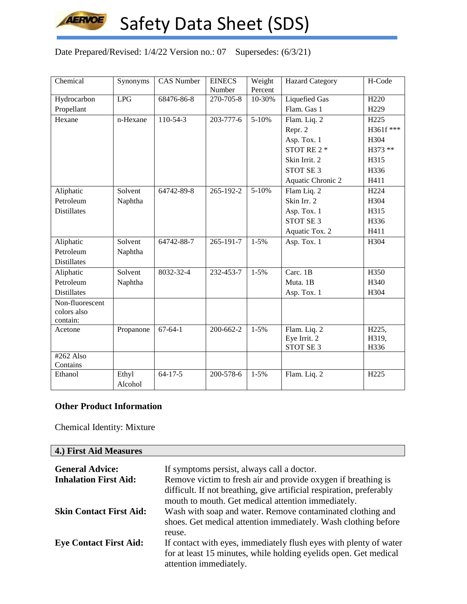

Date Prepared/Revised: 1/4/22 Version no.: 07 Supersedes: (6/3/21)

| Chemical           | Synonyms  | <b>CAS Number</b> | <b>EINECS</b>       | Weight            | <b>Hazard Category</b>               | H-Code           |
|--------------------|-----------|-------------------|---------------------|-------------------|--------------------------------------|------------------|
| Hydrocarbon        | LPG       | 68476-86-8        | Number<br>270-705-8 | Percent<br>10-30% | <b>Liquefied Gas</b>                 | H <sub>220</sub> |
|                    |           |                   |                     |                   | Flam. Gas 1                          | H <sub>229</sub> |
| Propellant         |           |                   |                     |                   |                                      |                  |
| Hexane             | n-Hexane  | $110-54-3$        | 203-777-6           | $5 - 10%$         | Flam. Liq. 2                         | H <sub>225</sub> |
|                    |           |                   |                     |                   | Repr. 2                              | H361f ***        |
|                    |           |                   |                     |                   | Asp. Tox. 1                          | H304             |
|                    |           |                   |                     |                   | STOT RE 2 *                          | H373 **          |
|                    |           |                   |                     |                   | Skin Irrit. 2                        | H315             |
|                    |           |                   |                     |                   | STOT SE <sub>3</sub>                 | H336             |
|                    |           |                   |                     |                   | Aquatic Chronic 2                    | H411             |
| Aliphatic          | Solvent   | 64742-89-8        | 265-192-2           | 5-10%             | Flam Liq. 2                          | H <sub>224</sub> |
| Petroleum          | Naphtha   |                   |                     |                   | Skin Irr. 2                          | H304             |
| <b>Distillates</b> |           |                   |                     |                   | Asp. Tox. 1                          | H315             |
|                    |           |                   |                     |                   | <b>STOT SE 3</b>                     | H336             |
|                    |           |                   |                     |                   | Aquatic Tox. 2                       | H411             |
| Aliphatic          | Solvent   | 64742-88-7        | 265-191-7           | $1-5%$            | Asp. Tox. 1                          | H304             |
| Petroleum          | Naphtha   |                   |                     |                   |                                      |                  |
| <b>Distillates</b> |           |                   |                     |                   |                                      |                  |
| Aliphatic          | Solvent   | 8032-32-4         | 232-453-7           | $1 - 5%$          | Carc. 1B                             | H350             |
| Petroleum          | Naphtha   |                   |                     |                   | Muta. 1B                             | H340             |
| <b>Distillates</b> |           |                   |                     |                   | Asp. Tox. 1                          | H304             |
| Non-fluorescent    |           |                   |                     |                   |                                      |                  |
| colors also        |           |                   |                     |                   |                                      |                  |
| contain:           |           |                   |                     |                   |                                      |                  |
| Acetone            | Propanone | $67 - 64 - 1$     | 200-662-2           | $1-5%$            | Flam. Liq. 2                         | H225,            |
|                    |           |                   |                     |                   | Eye Irrit. 2<br>STOT SE <sub>3</sub> | H319,            |
| $#262$ Also        |           |                   |                     |                   |                                      | H336             |
| Contains           |           |                   |                     |                   |                                      |                  |
| Ethanol            | Ethyl     | $64 - 17 - 5$     | 200-578-6           | $1 - 5%$          | Flam. Liq. 2                         | H <sub>225</sub> |
|                    | Alcohol   |                   |                     |                   |                                      |                  |

## **Other Product Information**

Chemical Identity: Mixture

| 4.) First Aid Measures         |                                                                                                                              |
|--------------------------------|------------------------------------------------------------------------------------------------------------------------------|
| <b>General Advice:</b>         | If symptoms persist, always call a doctor.                                                                                   |
| <b>Inhalation First Aid:</b>   | Remove victim to fresh air and provide oxygen if breathing is                                                                |
|                                | difficult. If not breathing, give artificial respiration, preferably<br>mouth to mouth. Get medical attention immediately.   |
| <b>Skin Contact First Aid:</b> | Wash with soap and water. Remove contaminated clothing and<br>shoes. Get medical attention immediately. Wash clothing before |
|                                | reuse.                                                                                                                       |
| <b>Eye Contact First Aid:</b>  | If contact with eyes, immediately flush eyes with plenty of water                                                            |
|                                | for at least 15 minutes, while holding eyelids open. Get medical<br>attention immediately.                                   |

┑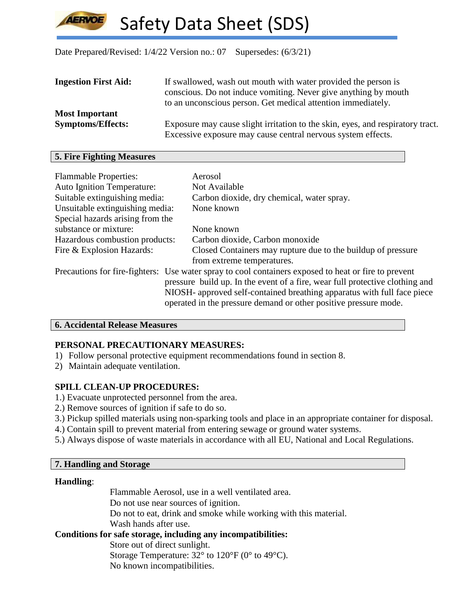Date Prepared/Revised: 1/4/22 Version no.: 07 Supersedes: (6/3/21)

| <b>Ingestion First Aid:</b> | If swallowed, wash out mouth with water provided the person is<br>conscious. Do not induce vomiting. Never give anything by mouth              |
|-----------------------------|------------------------------------------------------------------------------------------------------------------------------------------------|
|                             | to an unconscious person. Get medical attention immediately.                                                                                   |
| <b>Most Important</b>       |                                                                                                                                                |
| <b>Symptoms/Effects:</b>    | Exposure may cause slight irritation to the skin, eyes, and respiratory tract.<br>Excessive exposure may cause central nervous system effects. |

## **5. Fire Fighting Measures**

| <b>Flammable Properties:</b>      | Aerosol                                                                                              |
|-----------------------------------|------------------------------------------------------------------------------------------------------|
| <b>Auto Ignition Temperature:</b> | Not Available                                                                                        |
| Suitable extinguishing media:     | Carbon dioxide, dry chemical, water spray.                                                           |
| Unsuitable extinguishing media:   | None known                                                                                           |
| Special hazards arising from the  |                                                                                                      |
| substance or mixture:             | None known                                                                                           |
| Hazardous combustion products:    | Carbon dioxide, Carbon monoxide                                                                      |
| Fire & Explosion Hazards:         | Closed Containers may rupture due to the buildup of pressure                                         |
|                                   | from extreme temperatures.                                                                           |
|                                   | Precautions for fire-fighters: Use water spray to cool containers exposed to heat or fire to prevent |
|                                   | pressure build up. In the event of a fire, wear full protective clothing and                         |
|                                   | NIOSH- approved self-contained breathing apparatus with full face piece                              |
|                                   | operated in the pressure demand or other positive pressure mode.                                     |

## **6. Accidental Release Measures**

# **PERSONAL PRECAUTIONARY MEASURES:**

- 1) Follow personal protective equipment recommendations found in section 8.
- 2) Maintain adequate ventilation.

# **SPILL CLEAN-UP PROCEDURES:**

- 1.) Evacuate unprotected personnel from the area.
- 2.) Remove sources of ignition if safe to do so.
- 3.) Pickup spilled materials using non-sparking tools and place in an appropriate container for disposal.
- 4.) Contain spill to prevent material from entering sewage or ground water systems.
- 5.) Always dispose of waste materials in accordance with all EU, National and Local Regulations.

# **7. Handling and Storage**

# **Handling**:

Flammable Aerosol, use in a well ventilated area. Do not use near sources of ignition. Do not to eat, drink and smoke while working with this material. Wash hands after use.

# **Conditions for safe storage, including any incompatibilities:**

Store out of direct sunlight. Storage Temperature:  $32^{\circ}$  to  $120^{\circ}$  F (0° to 49°C). No known incompatibilities.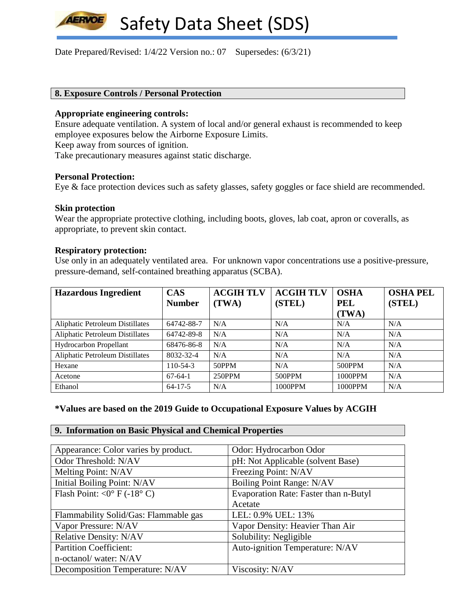Date Prepared/Revised: 1/4/22 Version no.: 07 Supersedes: (6/3/21)

#### **8. Exposure Controls / Personal Protection**

#### **Appropriate engineering controls:**

Ensure adequate ventilation. A system of local and/or general exhaust is recommended to keep employee exposures below the Airborne Exposure Limits.

Keep away from sources of ignition.

Take precautionary measures against static discharge.

## **Personal Protection:**

**LERVOE** 

Eye & face protection devices such as safety glasses, safety goggles or face shield are recommended.

#### **Skin protection**

Wear the appropriate protective clothing, including boots, gloves, lab coat, apron or coveralls, as appropriate, to prevent skin contact.

#### **Respiratory protection:**

Use only in an adequately ventilated area. For unknown vapor concentrations use a positive-pressure, pressure-demand, self-contained breathing apparatus (SCBA).

| <b>Hazardous Ingredient</b>            | <b>CAS</b>    | <b>ACGIH TLV</b> | <b>ACGIH TLV</b> | <b>OSHA</b> | <b>OSHA PEL</b> |
|----------------------------------------|---------------|------------------|------------------|-------------|-----------------|
|                                        | <b>Number</b> | (TWA)            | (STEL)           | <b>PEL</b>  | (STEL)          |
|                                        |               |                  |                  | (TWA)       |                 |
| <b>Aliphatic Petroleum Distillates</b> | 64742-88-7    | N/A              | N/A              | N/A         | N/A             |
| Aliphatic Petroleum Distillates        | 64742-89-8    | N/A              | N/A              | N/A         | N/A             |
| Hydrocarbon Propellant                 | 68476-86-8    | N/A              | N/A              | N/A         | N/A             |
| <b>Aliphatic Petroleum Distillates</b> | 8032-32-4     | N/A              | N/A              | N/A         | N/A             |
| Hexane                                 | $110-54-3$    | 50PPM            | N/A              | 500PPM      | N/A             |
| Acetone                                | $67-64-1$     | 250PPM           | 500PPM           | 1000PPM     | N/A             |
| Ethanol                                | $64 - 17 - 5$ | N/A              | 1000PPM          | 1000PPM     | N/A             |

## **\*Values are based on the 2019 Guide to Occupational Exposure Values by ACGIH**

#### **9. Information on Basic Physical and Chemical Properties**

| Appearance: Color varies by product.  | Odor: Hydrocarbon Odor                |
|---------------------------------------|---------------------------------------|
| Odor Threshold: N/AV                  | pH: Not Applicable (solvent Base)     |
| Melting Point: N/AV                   | Freezing Point: N/AV                  |
| Initial Boiling Point: N/AV           | Boiling Point Range: N/AV             |
| Flash Point: < $0^{\circ}$ F (-18° C) | Evaporation Rate: Faster than n-Butyl |
|                                       | Acetate                               |
| Flammability Solid/Gas: Flammable gas | LEL: 0.9% UEL: 13%                    |
| Vapor Pressure: N/AV                  | Vapor Density: Heavier Than Air       |
| <b>Relative Density: N/AV</b>         | Solubility: Negligible                |
| <b>Partition Coefficient:</b>         | Auto-ignition Temperature: N/AV       |
| n-octanol/water: N/AV                 |                                       |
| Decomposition Temperature: N/AV       | Viscosity: N/AV                       |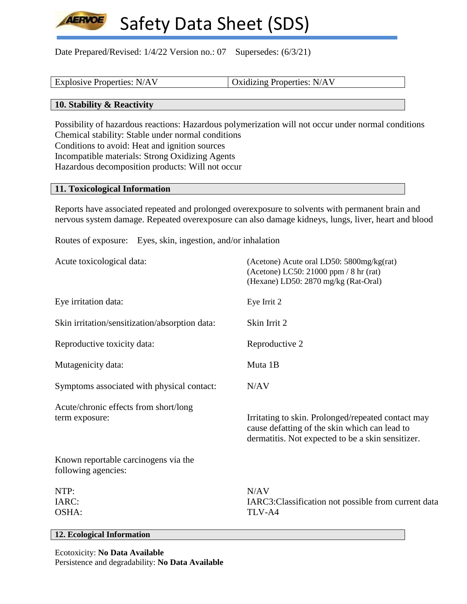Date Prepared/Revised: 1/4/22 Version no.: 07 Supersedes: (6/3/21)

| <b>Explosive Properties: N/AV</b> | Oxidizing Properties: N/AV |
|-----------------------------------|----------------------------|
|                                   |                            |

## **10. Stability & Reactivity**

**LERVOE** 

Possibility of hazardous reactions: Hazardous polymerization will not occur under normal conditions Chemical stability: Stable under normal conditions Conditions to avoid: Heat and ignition sources Incompatible materials: Strong Oxidizing Agents Hazardous decomposition products: Will not occur

#### **11. Toxicological Information**

Reports have associated repeated and prolonged overexposure to solvents with permanent brain and nervous system damage. Repeated overexposure can also damage kidneys, lungs, liver, heart and blood

Routes of exposure: Eyes, skin, ingestion, and/or inhalation

| Acute toxicological data:                                   | (Acetone) Acute oral LD50: 5800mg/kg(rat)<br>(Acetone) LC50: 21000 ppm / 8 hr (rat)<br>(Hexane) LD50: 2870 mg/kg (Rat-Oral)                              |
|-------------------------------------------------------------|----------------------------------------------------------------------------------------------------------------------------------------------------------|
| Eye irritation data:                                        | Eye Irrit 2                                                                                                                                              |
| Skin irritation/sensitization/absorption data:              | Skin Irrit 2                                                                                                                                             |
| Reproductive toxicity data:                                 | Reproductive 2                                                                                                                                           |
| Mutagenicity data:                                          | Muta 1B                                                                                                                                                  |
| Symptoms associated with physical contact:                  | N/AV                                                                                                                                                     |
| Acute/chronic effects from short/long<br>term exposure:     | Irritating to skin. Prolonged/repeated contact may<br>cause defatting of the skin which can lead to<br>dermatitis. Not expected to be a skin sensitizer. |
| Known reportable carcinogens via the<br>following agencies: |                                                                                                                                                          |
| NTP:<br>IARC:<br>OSHA:                                      | N/AV<br>IARC3: Classification not possible from current data<br>TLV-A4                                                                                   |

## **12. Ecological Information**

Ecotoxicity: **No Data Available** Persistence and degradability: **No Data Available**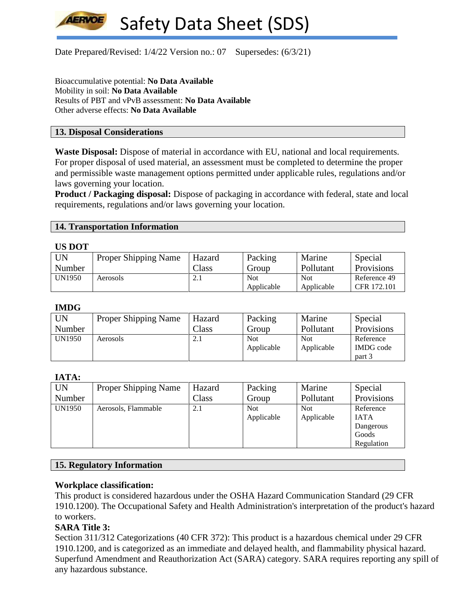

Date Prepared/Revised: 1/4/22 Version no.: 07 Supersedes: (6/3/21)

Bioaccumulative potential: **No Data Available** Mobility in soil: **No Data Available** Results of PBT and vPvB assessment: **No Data Available** Other adverse effects: **No Data Available**

## **13. Disposal Considerations**

**Waste Disposal:** Dispose of material in accordance with EU, national and local requirements. For proper disposal of used material, an assessment must be completed to determine the proper and permissible waste management options permitted under applicable rules, regulations and/or laws governing your location.

**Product / Packaging disposal:** Dispose of packaging in accordance with federal, state and local requirements, regulations and/or laws governing your location.

## **14. Transportation Information**

#### **US DOT**

| <b>UN</b>     | <b>Proper Shipping Name</b> | Hazard        | Packing    | Marine     | Special           |  |
|---------------|-----------------------------|---------------|------------|------------|-------------------|--|
| Number        |                             | $\gamma$ lass | Group      | Pollutant  | <b>Provisions</b> |  |
| <b>UN1950</b> | Aerosols                    | ∠.⊥           | <b>Not</b> | <b>Not</b> | Reference 49      |  |
|               |                             |               | Applicable | Applicable | CFR 172.101       |  |

#### **IMDG**

| UN     | <b>Proper Shipping Name</b> | Hazard | Packing    | Marine     | Special          |
|--------|-----------------------------|--------|------------|------------|------------------|
| Number |                             | Class  | Group      | Pollutant  | Provisions       |
| UN1950 | Aerosols                    | 2.1    | <b>Not</b> | <b>Not</b> | Reference        |
|        |                             |        | Applicable | Applicable | <b>IMDG</b> code |
|        |                             |        |            |            | part 3           |

## **IATA:**

| UN     | <b>Proper Shipping Name</b> | Hazard | Packing    | Marine     | Special     |
|--------|-----------------------------|--------|------------|------------|-------------|
| Number |                             | Class  | Group      | Pollutant  | Provisions  |
| UN1950 | Aerosols, Flammable         | 2.1    | <b>Not</b> | <b>Not</b> | Reference   |
|        |                             |        | Applicable | Applicable | <b>IATA</b> |
|        |                             |        |            |            | Dangerous   |
|        |                             |        |            |            | Goods       |
|        |                             |        |            |            | Regulation  |

#### **15. Regulatory Information**

#### **Workplace classification:**

This product is considered hazardous under the OSHA Hazard Communication Standard (29 CFR 1910.1200). The Occupational Safety and Health Administration's interpretation of the product's hazard to workers.

## **SARA Title 3:**

Section 311/312 Categorizations (40 CFR 372): This product is a hazardous chemical under 29 CFR 1910.1200, and is categorized as an immediate and delayed health, and flammability physical hazard. Superfund Amendment and Reauthorization Act (SARA) category. SARA requires reporting any spill of any hazardous substance.